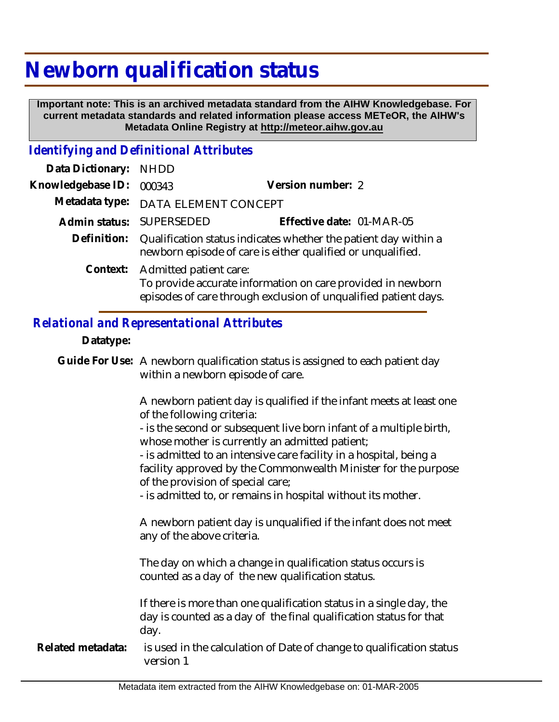# **Newborn qualification status**

 **Important note: This is an archived metadata standard from the AIHW Knowledgebase. For current metadata standards and related information please access METeOR, the AIHW's Metadata Online Registry at http://meteor.aihw.gov.au**

## *Identifying and Definitional Attributes*

| Data Dictionary: NHDD |                                                                                                                                                                   |                           |
|-----------------------|-------------------------------------------------------------------------------------------------------------------------------------------------------------------|---------------------------|
| Knowledgebase ID:     | 000343                                                                                                                                                            | Version number: 2         |
|                       | Metadata type: DATA ELEMENT CONCEPT                                                                                                                               |                           |
|                       | Admin status: SUPERSEDED                                                                                                                                          | Effective date: 01-MAR-05 |
|                       | Definition: Qualification status indicates whether the patient day within a<br>newborn episode of care is either qualified or unqualified.                        |                           |
|                       | Context: Admitted patient care:<br>To provide accurate information on care provided in newborn<br>episodes of care through exclusion of unqualified patient days. |                           |

### *Relational and Representational Attributes*

#### **Datatype:**

Guide For Use: A newborn qualification status is assigned to each patient day within a newborn episode of care.

> A newborn patient day is qualified if the infant meets at least one of the following criteria:

- is the second or subsequent live born infant of a multiple birth, whose mother is currently an admitted patient;

- is admitted to an intensive care facility in a hospital, being a facility approved by the Commonwealth Minister for the purpose of the provision of special care;

- is admitted to, or remains in hospital without its mother.

A newborn patient day is unqualified if the infant does not meet any of the above criteria.

The day on which a change in qualification status occurs is counted as a day of the new qualification status.

If there is more than one qualification status in a single day, the day is counted as a day of the final qualification status for that day.

is used in the calculation of Date of change to qualification status version 1 **Related metadata:**